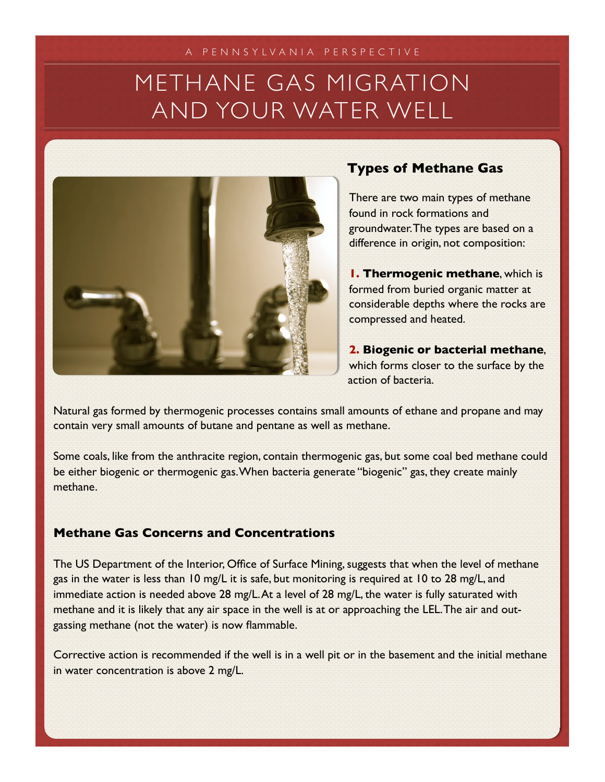# METHANE GAS MIGRATION AND YOUR WATER WELL



### **Types of Methane Gas**

There are two main types of methane found in rock formations and groundwater. The types are based on a difference in origin, not composition:

**1. Thermogenic methane**, which is formed from buried organic matter at considerable depths where the rocks are compressed and heated.

**2. Biogenic or bacterial methane**, which forms closer to the surface by the action of bacteria.

Natural gas formed by thermogenic processes contains small amounts of ethane and propane and may contain very small amounts of butane and pentane as well as methane.

Some coals, like from the anthracite region, contain thermogenic gas, but some coal bed methane could be either biogenic or thermogenic gas. When bacteria generate "biogenic" gas, they create mainly methane.

#### **Methane Gas Concerns and Concentrations**

The US Department of the Interior, Office of Surface Mining, suggests that when the level of methane gas in the water is less than 10 mg/L it is safe, but monitoring is required at 10 to 28 mg/L, and immediate action is needed above 28 mg/L. At a level of 28 mg/L, the water is fully saturated with methane and it is likely that any air space in the well is at or approaching the LEL. The air and outgassing methane (not the water) is now flammable.

Corrective action is recommended if the well is in a well pit or in the basement and the initial methane in water concentration is above 2 mg/L.